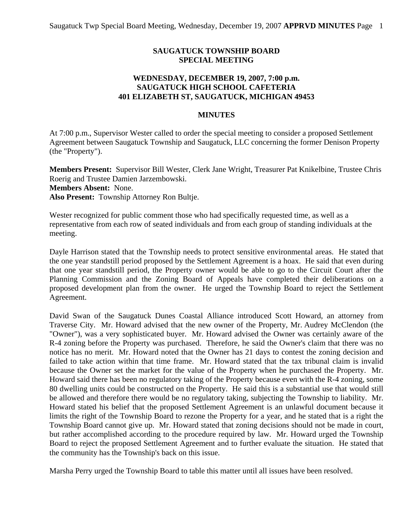## **SAUGATUCK TOWNSHIP BOARD SPECIAL MEETING**

## **WEDNESDAY, DECEMBER 19, 2007, 7:00 p.m. SAUGATUCK HIGH SCHOOL CAFETERIA 401 ELIZABETH ST, SAUGATUCK, MICHIGAN 49453**

## **MINUTES**

At 7:00 p.m., Supervisor Wester called to order the special meeting to consider a proposed Settlement Agreement between Saugatuck Township and Saugatuck, LLC concerning the former Denison Property (the "Property").

**Members Present:** Supervisor Bill Wester, Clerk Jane Wright, Treasurer Pat Knikelbine, Trustee Chris Roerig and Trustee Damien Jarzembowski. **Members Absent:** None. **Also Present:** Township Attorney Ron Bultje.

Wester recognized for public comment those who had specifically requested time, as well as a representative from each row of seated individuals and from each group of standing individuals at the meeting.

Dayle Harrison stated that the Township needs to protect sensitive environmental areas. He stated that the one year standstill period proposed by the Settlement Agreement is a hoax. He said that even during that one year standstill period, the Property owner would be able to go to the Circuit Court after the Planning Commission and the Zoning Board of Appeals have completed their deliberations on a proposed development plan from the owner. He urged the Township Board to reject the Settlement Agreement.

David Swan of the Saugatuck Dunes Coastal Alliance introduced Scott Howard, an attorney from Traverse City. Mr. Howard advised that the new owner of the Property, Mr. Audrey McClendon (the "Owner"), was a very sophisticated buyer. Mr. Howard advised the Owner was certainly aware of the R-4 zoning before the Property was purchased. Therefore, he said the Owner's claim that there was no notice has no merit. Mr. Howard noted that the Owner has 21 days to contest the zoning decision and failed to take action within that time frame. Mr. Howard stated that the tax tribunal claim is invalid because the Owner set the market for the value of the Property when he purchased the Property. Mr. Howard said there has been no regulatory taking of the Property because even with the R-4 zoning, some 80 dwelling units could be constructed on the Property. He said this is a substantial use that would still be allowed and therefore there would be no regulatory taking, subjecting the Township to liability. Mr. Howard stated his belief that the proposed Settlement Agreement is an unlawful document because it limits the right of the Township Board to rezone the Property for a year, and he stated that is a right the Township Board cannot give up. Mr. Howard stated that zoning decisions should not be made in court, but rather accomplished according to the procedure required by law. Mr. Howard urged the Township Board to reject the proposed Settlement Agreement and to further evaluate the situation. He stated that the community has the Township's back on this issue.

Marsha Perry urged the Township Board to table this matter until all issues have been resolved.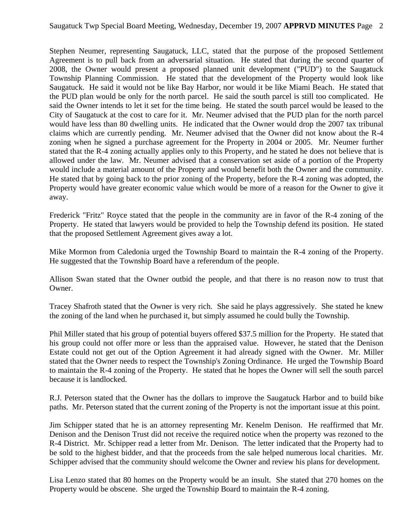Stephen Neumer, representing Saugatuck, LLC, stated that the purpose of the proposed Settlement Agreement is to pull back from an adversarial situation. He stated that during the second quarter of 2008, the Owner would present a proposed planned unit development ("PUD") to the Saugatuck Township Planning Commission. He stated that the development of the Property would look like Saugatuck. He said it would not be like Bay Harbor, nor would it be like Miami Beach. He stated that the PUD plan would be only for the north parcel. He said the south parcel is still too complicated. He said the Owner intends to let it set for the time being. He stated the south parcel would be leased to the City of Saugatuck at the cost to care for it. Mr. Neumer advised that the PUD plan for the north parcel would have less than 80 dwelling units. He indicated that the Owner would drop the 2007 tax tribunal claims which are currently pending. Mr. Neumer advised that the Owner did not know about the R-4 zoning when he signed a purchase agreement for the Property in 2004 or 2005. Mr. Neumer further stated that the R-4 zoning actually applies only to this Property, and he stated he does not believe that is allowed under the law. Mr. Neumer advised that a conservation set aside of a portion of the Property would include a material amount of the Property and would benefit both the Owner and the community. He stated that by going back to the prior zoning of the Property, before the R-4 zoning was adopted, the Property would have greater economic value which would be more of a reason for the Owner to give it away.

Frederick "Fritz" Royce stated that the people in the community are in favor of the R-4 zoning of the Property. He stated that lawyers would be provided to help the Township defend its position. He stated that the proposed Settlement Agreement gives away a lot.

Mike Mormon from Caledonia urged the Township Board to maintain the R-4 zoning of the Property. He suggested that the Township Board have a referendum of the people.

Allison Swan stated that the Owner outbid the people, and that there is no reason now to trust that Owner.

Tracey Shafroth stated that the Owner is very rich. She said he plays aggressively. She stated he knew the zoning of the land when he purchased it, but simply assumed he could bully the Township.

Phil Miller stated that his group of potential buyers offered \$37.5 million for the Property. He stated that his group could not offer more or less than the appraised value. However, he stated that the Denison Estate could not get out of the Option Agreement it had already signed with the Owner. Mr. Miller stated that the Owner needs to respect the Township's Zoning Ordinance. He urged the Township Board to maintain the R-4 zoning of the Property. He stated that he hopes the Owner will sell the south parcel because it is landlocked.

R.J. Peterson stated that the Owner has the dollars to improve the Saugatuck Harbor and to build bike paths. Mr. Peterson stated that the current zoning of the Property is not the important issue at this point.

Jim Schipper stated that he is an attorney representing Mr. Kenelm Denison. He reaffirmed that Mr. Denison and the Denison Trust did not receive the required notice when the property was rezoned to the R-4 District. Mr. Schipper read a letter from Mr. Denison. The letter indicated that the Property had to be sold to the highest bidder, and that the proceeds from the sale helped numerous local charities. Mr. Schipper advised that the community should welcome the Owner and review his plans for development.

Lisa Lenzo stated that 80 homes on the Property would be an insult. She stated that 270 homes on the Property would be obscene. She urged the Township Board to maintain the R-4 zoning.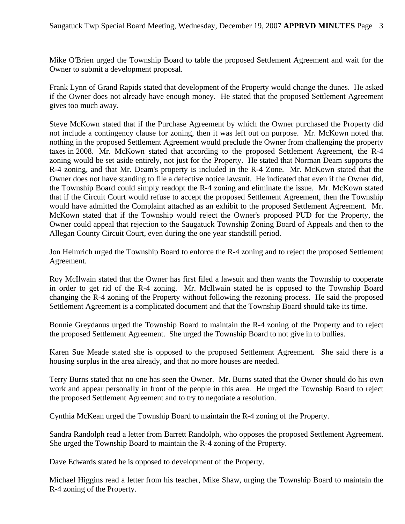Mike O'Brien urged the Township Board to table the proposed Settlement Agreement and wait for the Owner to submit a development proposal.

Frank Lynn of Grand Rapids stated that development of the Property would change the dunes. He asked if the Owner does not already have enough money. He stated that the proposed Settlement Agreement gives too much away.

Steve McKown stated that if the Purchase Agreement by which the Owner purchased the Property did not include a contingency clause for zoning, then it was left out on purpose. Mr. McKown noted that nothing in the proposed Settlement Agreement would preclude the Owner from challenging the property taxes in 2008. Mr. McKown stated that according to the proposed Settlement Agreement, the R-4 zoning would be set aside entirely, not just for the Property. He stated that Norman Deam supports the R-4 zoning, and that Mr. Deam's property is included in the R-4 Zone. Mr. McKown stated that the Owner does not have standing to file a defective notice lawsuit. He indicated that even if the Owner did, the Township Board could simply readopt the R-4 zoning and eliminate the issue. Mr. McKown stated that if the Circuit Court would refuse to accept the proposed Settlement Agreement, then the Township would have admitted the Complaint attached as an exhibit to the proposed Settlement Agreement. Mr. McKown stated that if the Township would reject the Owner's proposed PUD for the Property, the Owner could appeal that rejection to the Saugatuck Township Zoning Board of Appeals and then to the Allegan County Circuit Court, even during the one year standstill period.

Jon Helmrich urged the Township Board to enforce the R-4 zoning and to reject the proposed Settlement Agreement.

Roy McIlwain stated that the Owner has first filed a lawsuit and then wants the Township to cooperate in order to get rid of the R-4 zoning. Mr. McIlwain stated he is opposed to the Township Board changing the R-4 zoning of the Property without following the rezoning process. He said the proposed Settlement Agreement is a complicated document and that the Township Board should take its time.

Bonnie Greydanus urged the Township Board to maintain the R-4 zoning of the Property and to reject the proposed Settlement Agreement. She urged the Township Board to not give in to bullies.

Karen Sue Meade stated she is opposed to the proposed Settlement Agreement. She said there is a housing surplus in the area already, and that no more houses are needed.

Terry Burns stated that no one has seen the Owner. Mr. Burns stated that the Owner should do his own work and appear personally in front of the people in this area. He urged the Township Board to reject the proposed Settlement Agreement and to try to negotiate a resolution.

Cynthia McKean urged the Township Board to maintain the R-4 zoning of the Property.

Sandra Randolph read a letter from Barrett Randolph, who opposes the proposed Settlement Agreement. She urged the Township Board to maintain the R-4 zoning of the Property.

Dave Edwards stated he is opposed to development of the Property.

Michael Higgins read a letter from his teacher, Mike Shaw, urging the Township Board to maintain the R-4 zoning of the Property.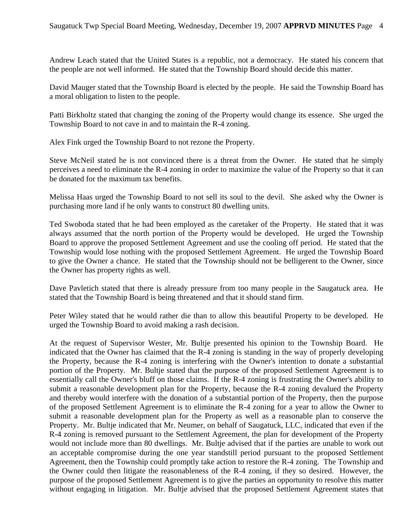Andrew Leach stated that the United States is a republic, not a democracy. He stated his concern that the people are not well informed. He stated that the Township Board should decide this matter.

David Mauger stated that the Township Board is elected by the people. He said the Township Board has a moral obligation to listen to the people.

Patti Birkholtz stated that changing the zoning of the Property would change its essence. She urged the Township Board to not cave in and to maintain the R-4 zoning.

Alex Fink urged the Township Board to not rezone the Property.

Steve McNeil stated he is not convinced there is a threat from the Owner. He stated that he simply perceives a need to eliminate the R-4 zoning in order to maximize the value of the Property so that it can be donated for the maximum tax benefits.

Melissa Haas urged the Township Board to not sell its soul to the devil. She asked why the Owner is purchasing more land if he only wants to construct 80 dwelling units.

Ted Swoboda stated that he had been employed as the caretaker of the Property. He stated that it was always assumed that the north portion of the Property would be developed. He urged the Township Board to approve the proposed Settlement Agreement and use the cooling off period. He stated that the Township would lose nothing with the proposed Settlement Agreement. He urged the Township Board to give the Owner a chance. He stated that the Township should not be belligerent to the Owner, since the Owner has property rights as well.

Dave Pavletich stated that there is already pressure from too many people in the Saugatuck area. He stated that the Township Board is being threatened and that it should stand firm.

Peter Wiley stated that he would rather die than to allow this beautiful Property to be developed. He urged the Township Board to avoid making a rash decision.

At the request of Supervisor Wester, Mr. Bultje presented his opinion to the Township Board. He indicated that the Owner has claimed that the R-4 zoning is standing in the way of properly developing the Property, because the R-4 zoning is interfering with the Owner's intention to donate a substantial portion of the Property. Mr. Bultje stated that the purpose of the proposed Settlement Agreement is to essentially call the Owner's bluff on those claims. If the R-4 zoning is frustrating the Owner's ability to submit a reasonable development plan for the Property, because the R-4 zoning devalued the Property and thereby would interfere with the donation of a substantial portion of the Property, then the purpose of the proposed Settlement Agreement is to eliminate the R-4 zoning for a year to allow the Owner to submit a reasonable development plan for the Property as well as a reasonable plan to conserve the Property. Mr. Bultje indicated that Mr. Neumer, on behalf of Saugatuck, LLC, indicated that even if the R-4 zoning is removed pursuant to the Settlement Agreement, the plan for development of the Property would not include more than 80 dwellings. Mr. Bultje advised that if the parties are unable to work out an acceptable compromise during the one year standstill period pursuant to the proposed Settlement Agreement, then the Township could promptly take action to restore the R-4 zoning. The Township and the Owner could then litigate the reasonableness of the R-4 zoning, if they so desired. However, the purpose of the proposed Settlement Agreement is to give the parties an opportunity to resolve this matter without engaging in litigation. Mr. Bultje advised that the proposed Settlement Agreement states that